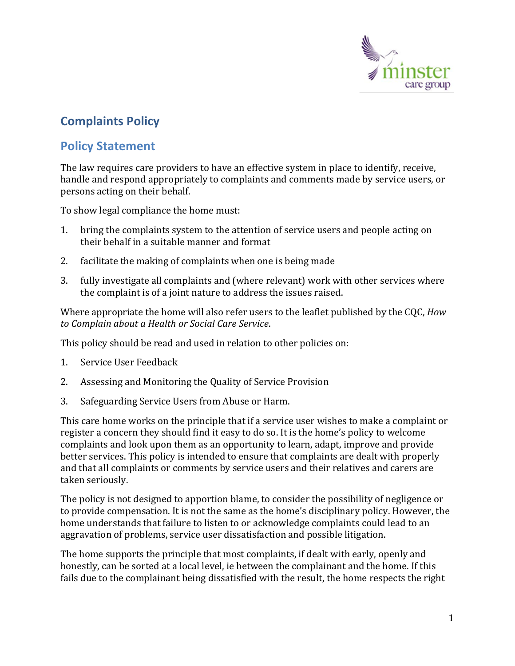

# **Complaints Policy**

### **Policy Statement**

The law requires care providers to have an effective system in place to identify, receive, handle and respond appropriately to complaints and comments made by service users, or persons acting on their behalf.

To show legal compliance the home must:

- 1. bring the complaints system to the attention of service users and people acting on their behalf in a suitable manner and format
- 2. facilitate the making of complaints when one is being made
- 3. fully investigate all complaints and (where relevant) work with other services where the complaint is of a joint nature to address the issues raised.

Where appropriate the home will also refer users to the leaflet published by the CQC, *How to Complain about a Health or Social Care Service*.

This policy should be read and used in relation to other policies on:

- 1. Service User Feedback
- 2. Assessing and Monitoring the Quality of Service Provision
- 3. Safeguarding Service Users from Abuse or Harm.

This care home works on the principle that if a service user wishes to make a complaint or register a concern they should find it easy to do so. It is the home's policy to welcome complaints and look upon them as an opportunity to learn, adapt, improve and provide better services. This policy is intended to ensure that complaints are dealt with properly and that all complaints or comments by service users and their relatives and carers are taken seriously.

The policy is not designed to apportion blame, to consider the possibility of negligence or to provide compensation. It is not the same as the home's disciplinary policy. However, the home understands that failure to listen to or acknowledge complaints could lead to an aggravation of problems, service user dissatisfaction and possible litigation.

The home supports the principle that most complaints, if dealt with early, openly and honestly, can be sorted at a local level, ie between the complainant and the home. If this fails due to the complainant being dissatisfied with the result, the home respects the right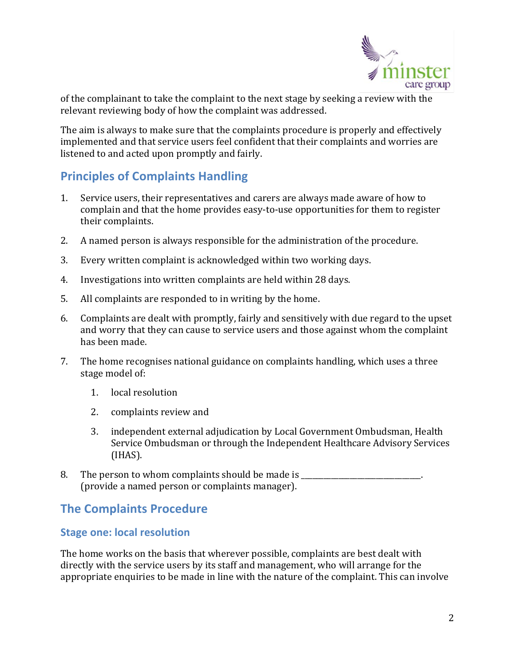

of the complainant to take the complaint to the next stage by seeking a review with the relevant reviewing body of how the complaint was addressed.

The aim is always to make sure that the complaints procedure is properly and effectively implemented and that service users feel confident that their complaints and worries are listened to and acted upon promptly and fairly.

## **Principles of Complaints Handling**

- 1. Service users, their representatives and carers are always made aware of how to complain and that the home provides easy-to-use opportunities for them to register their complaints.
- 2. A named person is always responsible for the administration of the procedure.
- 3. Every written complaint is acknowledged within two working days.
- 4. Investigations into written complaints are held within 28 days.
- 5. All complaints are responded to in writing by the home.
- 6. Complaints are dealt with promptly, fairly and sensitively with due regard to the upset and worry that they can cause to service users and those against whom the complaint has been made.
- 7. The home recognises national guidance on complaints handling, which uses a three stage model of:
	- 1. local resolution
	- 2. complaints review and
	- 3. independent external adjudication by Local Government Ombudsman, Health Service Ombudsman or through the Independent Healthcare Advisory Services (IHAS).
- 8. The person to whom complaints should be made is \_\_\_\_\_\_\_\_\_\_\_\_\_\_\_\_\_\_\_\_\_\_\_\_\_\_\_\_. (provide a named person or complaints manager).

## **The Complaints Procedure**

#### **Stage one: local resolution**

The home works on the basis that wherever possible, complaints are best dealt with directly with the service users by its staff and management, who will arrange for the appropriate enquiries to be made in line with the nature of the complaint. This can involve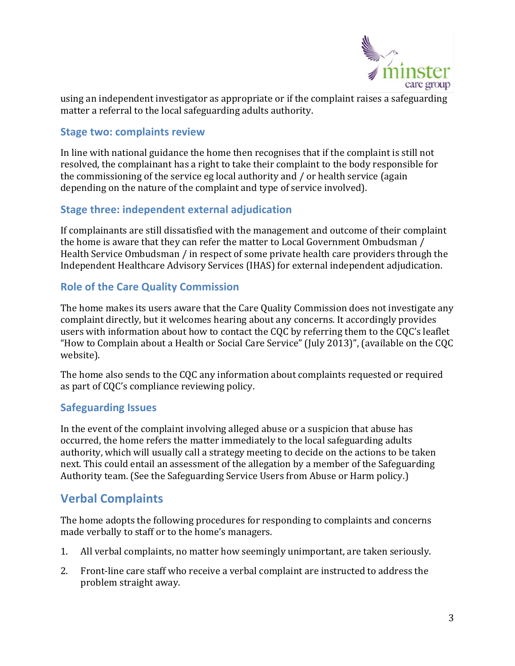

using an independent investigator as appropriate or if the complaint raises a safeguarding matter a referral to the local safeguarding adults authority.

#### **Stage two: complaints review**

In line with national guidance the home then recognises that if the complaint is still not resolved, the complainant has a right to take their complaint to the body responsible for the commissioning of the service eg local authority and / or health service (again depending on the nature of the complaint and type of service involved).

#### **Stage three: independent external adjudication**

If complainants are still dissatisfied with the management and outcome of their complaint the home is aware that they can refer the matter to Local Government Ombudsman / Health Service Ombudsman / in respect of some private health care providers through the Independent Healthcare Advisory Services (IHAS) for external independent adjudication.

#### **Role of the Care Quality Commission**

The home makes its users aware that the Care Quality Commission does not investigate any complaint directly, but it welcomes hearing about any concerns. It accordingly provides users with information about how to contact the CQC by referring them to the CQC's leaflet "How to Complain about a Health or Social Care Service" (July 2013)", (available on the CQC website).

The home also sends to the CQC any information about complaints requested or required as part of CQC's compliance reviewing policy.

#### **Safeguarding Issues**

In the event of the complaint involving alleged abuse or a suspicion that abuse has occurred, the home refers the matter immediately to the local safeguarding adults authority, which will usually call a strategy meeting to decide on the actions to be taken next. This could entail an assessment of the allegation by a member of the Safeguarding Authority team. (See the Safeguarding Service Users from Abuse or Harm policy.)

### **Verbal Complaints**

The home adopts the following procedures for responding to complaints and concerns made verbally to staff or to the home's managers.

- 1. All verbal complaints, no matter how seemingly unimportant, are taken seriously.
- 2. Front-line care staff who receive a verbal complaint are instructed to address the problem straight away.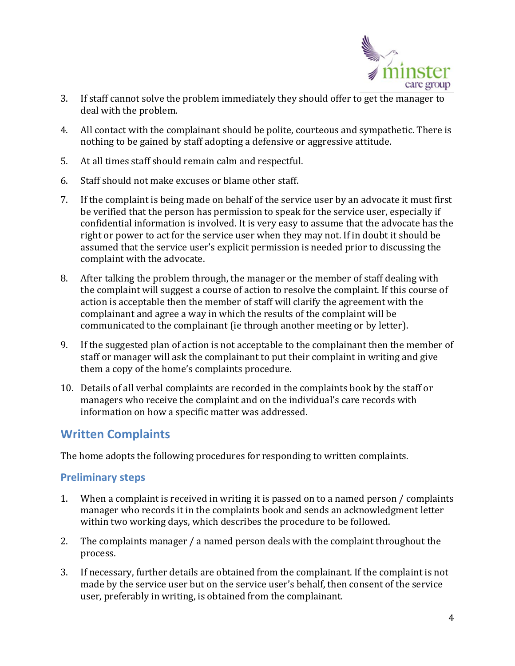

- 3. If staff cannot solve the problem immediately they should offer to get the manager to deal with the problem.
- 4. All contact with the complainant should be polite, courteous and sympathetic. There is nothing to be gained by staff adopting a defensive or aggressive attitude.
- 5. At all times staff should remain calm and respectful.
- 6. Staff should not make excuses or blame other staff.
- 7. If the complaint is being made on behalf of the service user by an advocate it must first be verified that the person has permission to speak for the service user, especially if confidential information is involved. It is very easy to assume that the advocate has the right or power to act for the service user when they may not. If in doubt it should be assumed that the service user's explicit permission is needed prior to discussing the complaint with the advocate.
- 8. After talking the problem through, the manager or the member of staff dealing with the complaint will suggest a course of action to resolve the complaint. If this course of action is acceptable then the member of staff will clarify the agreement with the complainant and agree a way in which the results of the complaint will be communicated to the complainant (ie through another meeting or by letter).
- 9. If the suggested plan of action is not acceptable to the complainant then the member of staff or manager will ask the complainant to put their complaint in writing and give them a copy of the home's complaints procedure.
- 10. Details of all verbal complaints are recorded in the complaints book by the staff or managers who receive the complaint and on the individual's care records with information on how a specific matter was addressed.

### **Written Complaints**

The home adopts the following procedures for responding to written complaints.

#### **Preliminary steps**

- 1. When a complaint is received in writing it is passed on to a named person / complaints manager who records it in the complaints book and sends an acknowledgment letter within two working days, which describes the procedure to be followed.
- 2. The complaints manager / a named person deals with the complaint throughout the process.
- 3. If necessary, further details are obtained from the complainant. If the complaint is not made by the service user but on the service user's behalf, then consent of the service user, preferably in writing, is obtained from the complainant.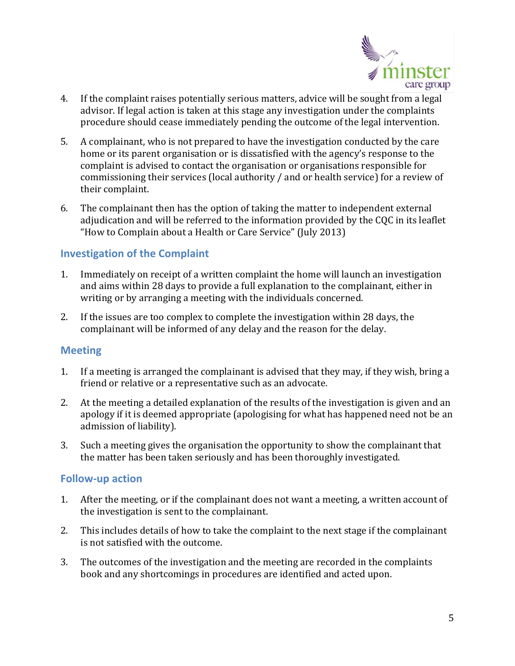

- 4. If the complaint raises potentially serious matters, advice will be sought from a legal advisor. If legal action is taken at this stage any investigation under the complaints procedure should cease immediately pending the outcome of the legal intervention.
- 5. A complainant, who is not prepared to have the investigation conducted by the care home or its parent organisation or is dissatisfied with the agency's response to the complaint is advised to contact the organisation or organisations responsible for commissioning their services (local authority / and or health service) for a review of their complaint.
- 6. The complainant then has the option of taking the matter to independent external adjudication and will be referred to the information provided by the CQC in its leaflet "How to Complain about a Health or Care Service" (July 2013)

#### **Investigation of the Complaint**

- 1. Immediately on receipt of a written complaint the home will launch an investigation and aims within 28 days to provide a full explanation to the complainant, either in writing or by arranging a meeting with the individuals concerned.
- 2. If the issues are too complex to complete the investigation within 28 days, the complainant will be informed of any delay and the reason for the delay.

#### **Meeting**

- 1. If a meeting is arranged the complainant is advised that they may, if they wish, bring a friend or relative or a representative such as an advocate.
- 2. At the meeting a detailed explanation of the results of the investigation is given and an apology if it is deemed appropriate (apologising for what has happened need not be an admission of liability).
- 3. Such a meeting gives the organisation the opportunity to show the complainant that the matter has been taken seriously and has been thoroughly investigated.

#### **Follow-up action**

- 1. After the meeting, or if the complainant does not want a meeting, a written account of the investigation is sent to the complainant.
- 2. This includes details of how to take the complaint to the next stage if the complainant is not satisfied with the outcome.
- 3. The outcomes of the investigation and the meeting are recorded in the complaints book and any shortcomings in procedures are identified and acted upon.